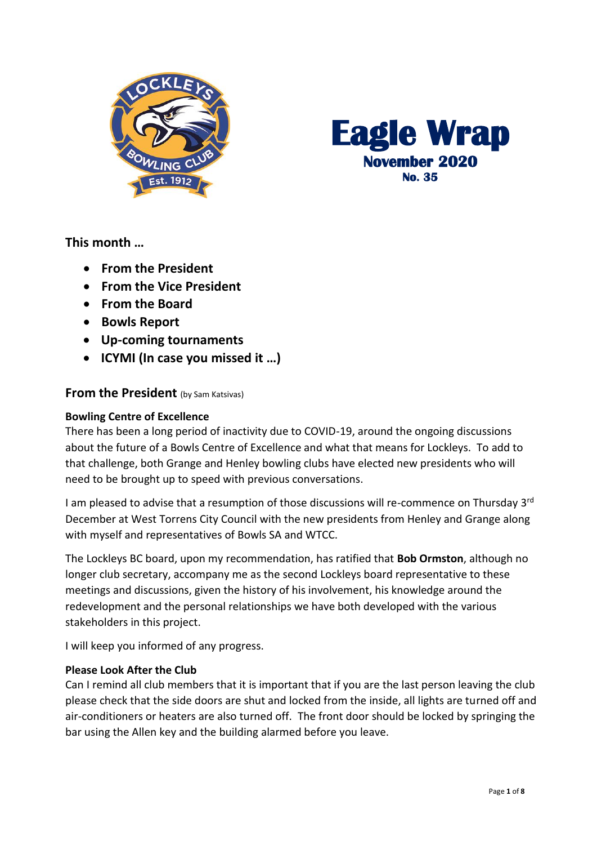



**This month …**

- **From the President**
- **From the Vice President**
- **From the Board**
- **Bowls Report**
- **Up-coming tournaments**
- **ICYMI (In case you missed it …)**

# **From the President** (by Sam Katsivas)

### **Bowling Centre of Excellence**

There has been a long period of inactivity due to COVID-19, around the ongoing discussions about the future of a Bowls Centre of Excellence and what that means for Lockleys. To add to that challenge, both Grange and Henley bowling clubs have elected new presidents who will need to be brought up to speed with previous conversations.

I am pleased to advise that a resumption of those discussions will re-commence on Thursday 3<sup>rd</sup> December at West Torrens City Council with the new presidents from Henley and Grange along with myself and representatives of Bowls SA and WTCC.

The Lockleys BC board, upon my recommendation, has ratified that **Bob Ormston**, although no longer club secretary, accompany me as the second Lockleys board representative to these meetings and discussions, given the history of his involvement, his knowledge around the redevelopment and the personal relationships we have both developed with the various stakeholders in this project.

I will keep you informed of any progress.

# **Please Look After the Club**

Can I remind all club members that it is important that if you are the last person leaving the club please check that the side doors are shut and locked from the inside, all lights are turned off and air-conditioners or heaters are also turned off. The front door should be locked by springing the bar using the Allen key and the building alarmed before you leave.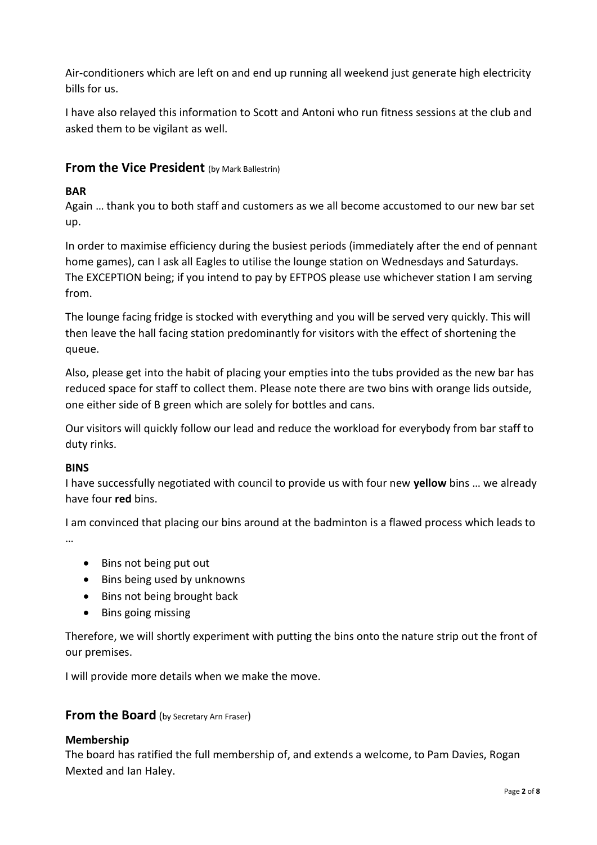Air-conditioners which are left on and end up running all weekend just generate high electricity bills for us.

I have also relayed this information to Scott and Antoni who run fitness sessions at the club and asked them to be vigilant as well.

# **From the Vice President** (by Mark Ballestrin)

# **BAR**

Again … thank you to both staff and customers as we all become accustomed to our new bar set up.

In order to maximise efficiency during the busiest periods (immediately after the end of pennant home games), can I ask all Eagles to utilise the lounge station on Wednesdays and Saturdays. The EXCEPTION being; if you intend to pay by EFTPOS please use whichever station I am serving from.

The lounge facing fridge is stocked with everything and you will be served very quickly. This will then leave the hall facing station predominantly for visitors with the effect of shortening the queue.

Also, please get into the habit of placing your empties into the tubs provided as the new bar has reduced space for staff to collect them. Please note there are two bins with orange lids outside, one either side of B green which are solely for bottles and cans.

Our visitors will quickly follow our lead and reduce the workload for everybody from bar staff to duty rinks.

### **BINS**

I have successfully negotiated with council to provide us with four new **yellow** bins … we already have four **red** bins.

I am convinced that placing our bins around at the badminton is a flawed process which leads to …

- Bins not being put out
- Bins being used by unknowns
- Bins not being brought back
- Bins going missing

Therefore, we will shortly experiment with putting the bins onto the nature strip out the front of our premises.

I will provide more details when we make the move.

# **From the Board** (by Secretary Arn Fraser)

### **Membership**

The board has ratified the full membership of, and extends a welcome, to Pam Davies, Rogan Mexted and Ian Haley.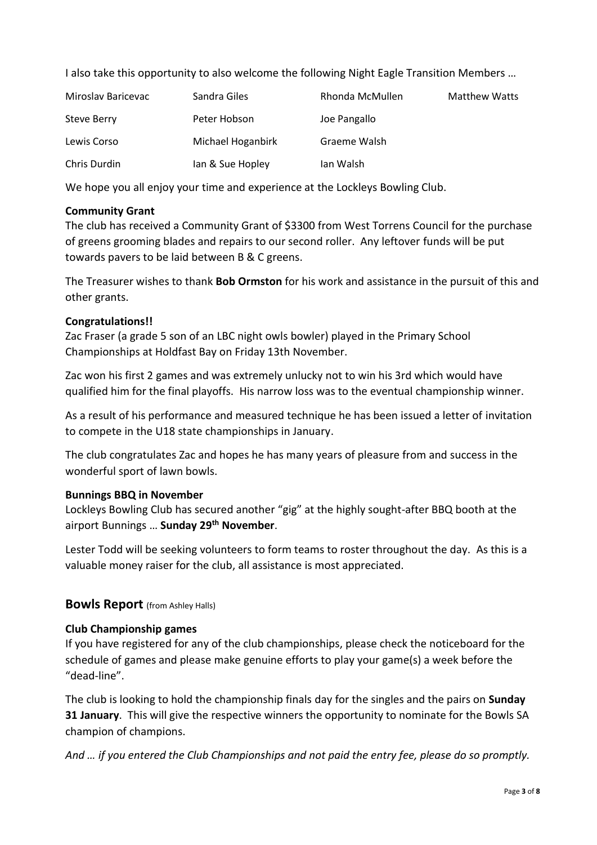I also take this opportunity to also welcome the following Night Eagle Transition Members …

| Miroslav Baricevac | Sandra Giles      | Rhonda McMullen | <b>Matthew Watts</b> |
|--------------------|-------------------|-----------------|----------------------|
| Steve Berry        | Peter Hobson      | Joe Pangallo    |                      |
| Lewis Corso        | Michael Hoganbirk | Graeme Walsh    |                      |
| Chris Durdin       | lan & Sue Hopley  | Ian Walsh       |                      |

We hope you all enjoy your time and experience at the Lockleys Bowling Club.

### **Community Grant**

The club has received a Community Grant of \$3300 from West Torrens Council for the purchase of greens grooming blades and repairs to our second roller. Any leftover funds will be put towards pavers to be laid between B & C greens.

The Treasurer wishes to thank **Bob Ormston** for his work and assistance in the pursuit of this and other grants.

# **Congratulations!!**

Zac Fraser (a grade 5 son of an LBC night owls bowler) played in the Primary School Championships at Holdfast Bay on Friday 13th November.

Zac won his first 2 games and was extremely unlucky not to win his 3rd which would have qualified him for the final playoffs. His narrow loss was to the eventual championship winner.

As a result of his performance and measured technique he has been issued a letter of invitation to compete in the U18 state championships in January.

The club congratulates Zac and hopes he has many years of pleasure from and success in the wonderful sport of lawn bowls.

### **Bunnings BBQ in November**

Lockleys Bowling Club has secured another "gig" at the highly sought-after BBQ booth at the airport Bunnings … **Sunday 29th November**.

Lester Todd will be seeking volunteers to form teams to roster throughout the day. As this is a valuable money raiser for the club, all assistance is most appreciated.

# **Bowls Report** (from Ashley Halls)

# **Club Championship games**

If you have registered for any of the club championships, please check the noticeboard for the schedule of games and please make genuine efforts to play your game(s) a week before the "dead-line".

The club is looking to hold the championship finals day for the singles and the pairs on **Sunday 31 January**. This will give the respective winners the opportunity to nominate for the Bowls SA champion of champions.

*And … if you entered the Club Championships and not paid the entry fee, please do so promptly.*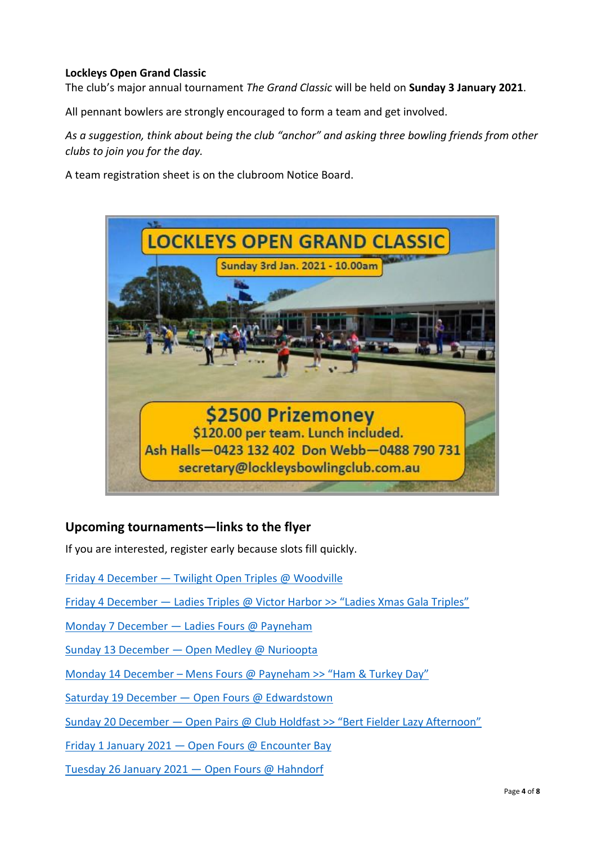# **Lockleys Open Grand Classic**

The club's major annual tournament *The Grand Classic* will be held on **Sunday 3 January 2021**.

All pennant bowlers are strongly encouraged to form a team and get involved.

*As a suggestion, think about being the club "anchor" and asking three bowling friends from other clubs to join you for the day.*

A team registration sheet is on the clubroom Notice Board.



# **Upcoming tournaments—links to the flyer**

If you are interested, register early because slots fill quickly.

Friday 4 December — [Twilight Open Triples @ Woodville](https://drive.google.com/file/d/1Wm-jk3j0vDsBLxmwDjdUC-PruGrCBWWq/view?usp=sharing)

Friday 4 December — [Ladies Triples @ Victor Harbor](https://drive.google.com/file/d/1OVeBl-_HiOWcljJGLdRYFHxbDlGWjjKh/view?usp=sharing) >> "Ladies Xmas Gala Triples"

Monday 7 December — [Ladies Fours @ Payneham](https://drive.google.com/file/d/1Cumdcluw_Ly0GKAUWiAVVC-gUfaTcXX1/view?usp=sharing)

Sunday 13 December — [Open Medley @ Nurioopta](https://drive.google.com/file/d/17RRLYeVlKAO30167ni4k6lkO2FEJnRHV/view?usp=sharing)

Monday 14 December – [Mens Fours @ Payneham >> "Ham](https://drive.google.com/file/d/1YoV0KIqgk2htvZZ57SRZ-Bv7xVjUW9AU/view?usp=sharing) & Turkey Day"

Saturday 19 December — [Open Fours @ Edwardstown](https://drive.google.com/file/d/1wrbpUcAuELbCNwRFt8jKMbwIS7X6HulX/view?usp=sharing)

Sunday 20 December — [Open Pairs @ Club Holdfast >> "Bert Fielder Lazy Afternoon"](https://drive.google.com/file/d/1yKhtVpGcU-viOeKc8o49LeYdPNs_Nv3Y/view?usp=sharing)

Friday 1 January 2021 — [Open Fours @ Encounter Bay](https://drive.google.com/file/d/1mhE04ubN-5HFek_ITlDsCj_1kfx1njiP/view?usp=sharing)

[Tuesday 26 January 2021](https://drive.google.com/file/d/1zsOF_SVPsw99gZIyhLv5prNLqAe4G7i-/view?usp=sharing) — Open Fours @ Hahndorf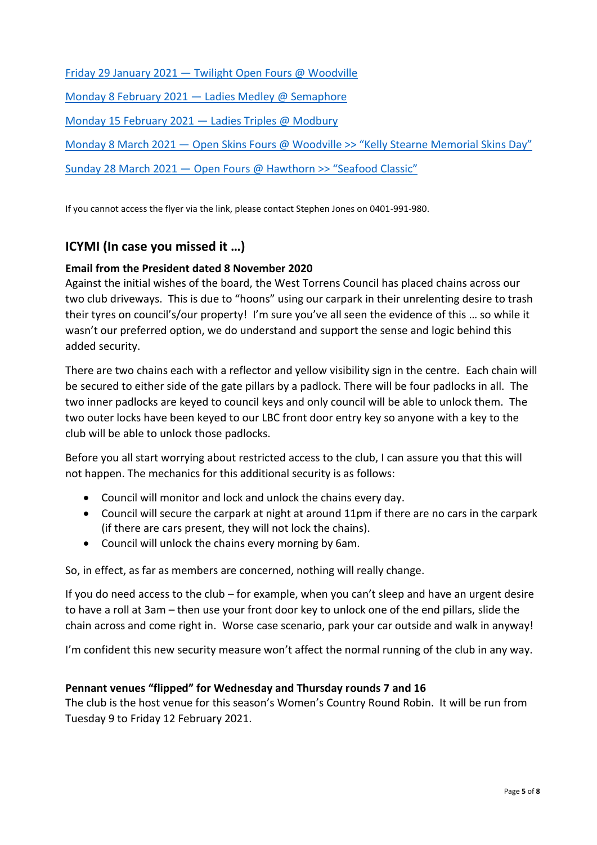Friday 29 January 2021 — [Twilight Open Fours @ Woodville](https://drive.google.com/file/d/1Vl4aUJ1xtY8d5h7vh97o_cvgdJ57szbZ/view?usp=sharing) [Monday 8 February 2021](https://drive.google.com/file/d/1b8QzE8sUdeqyycI9MI93aiMqngVCBwhP/view?usp=sharing) — Ladies Medley @ Semaphore

[Monday 15 February 2021](https://drive.google.com/file/d/13L9TES8kwTDZas2CwvVy6xxmB1rgq5mn/view?usp=sharing) — Ladies Triples @ Modbury

Monday 8 March 2021 — [Open Skins Fours @ Woodville >> "Kelly Stearne Memorial Skins Day"](https://drive.google.com/file/d/17mGC3zHC_ZDq9A_Cm1uNPJxP_I1t8hhw/view?usp=sharing)

Sunday 28 March 2021 — [Open Fours @ Hawthorn >> "Seafood Classic"](https://drive.google.com/file/d/1m3DRdgJVXH5wl7EWktVmBuGVfEbAl-63/view?usp=sharing)

If you cannot access the flyer via the link, please contact Stephen Jones on 0401-991-980.

# **ICYMI (In case you missed it …)**

# **Email from the President dated 8 November 2020**

Against the initial wishes of the board, the West Torrens Council has placed chains across our two club driveways. This is due to "hoons" using our carpark in their unrelenting desire to trash their tyres on council's/our property! I'm sure you've all seen the evidence of this … so while it wasn't our preferred option, we do understand and support the sense and logic behind this added security.

There are two chains each with a reflector and yellow visibility sign in the centre. Each chain will be secured to either side of the gate pillars by a padlock. There will be four padlocks in all. The two inner padlocks are keyed to council keys and only council will be able to unlock them. The two outer locks have been keyed to our LBC front door entry key so anyone with a key to the club will be able to unlock those padlocks.

Before you all start worrying about restricted access to the club, I can assure you that this will not happen. The mechanics for this additional security is as follows:

- Council will monitor and lock and unlock the chains every day.
- Council will secure the carpark at night at around 11pm if there are no cars in the carpark (if there are cars present, they will not lock the chains).
- Council will unlock the chains every morning by 6am.

So, in effect, as far as members are concerned, nothing will really change.

If you do need access to the club – for example, when you can't sleep and have an urgent desire to have a roll at 3am – then use your front door key to unlock one of the end pillars, slide the chain across and come right in. Worse case scenario, park your car outside and walk in anyway!

I'm confident this new security measure won't affect the normal running of the club in any way.

# **Pennant venues "flipped" for Wednesday and Thursday rounds 7 and 16**

The club is the host venue for this season's Women's Country Round Robin. It will be run from Tuesday 9 to Friday 12 February 2021.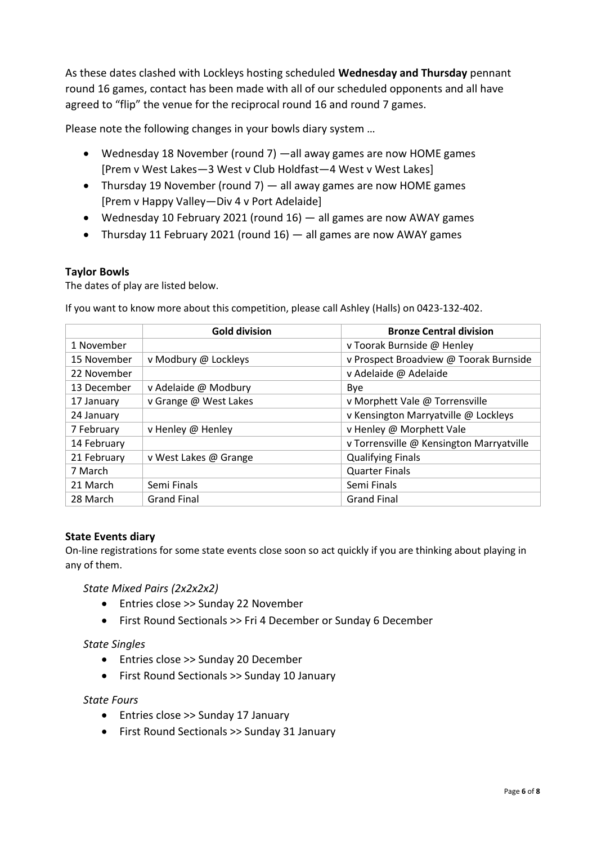As these dates clashed with Lockleys hosting scheduled **Wednesday and Thursday** pennant round 16 games, contact has been made with all of our scheduled opponents and all have agreed to "flip" the venue for the reciprocal round 16 and round 7 games.

Please note the following changes in your bowls diary system …

- Wednesday 18 November (round 7) —all away games are now HOME games [Prem v West Lakes—3 West v Club Holdfast—4 West v West Lakes]
- Thursday 19 November (round 7)  $-$  all away games are now HOME games [Prem v Happy Valley—Div 4 v Port Adelaide]
- Wednesday 10 February 2021 (round 16) all games are now AWAY games
- Thursday 11 February 2021 (round 16) all games are now AWAY games

# **Taylor Bowls**

The dates of play are listed below.

If you want to know more about this competition, please call Ashley (Halls) on 0423-132-402.

|             | <b>Gold division</b>  | <b>Bronze Central division</b>           |
|-------------|-----------------------|------------------------------------------|
| 1 November  |                       | v Toorak Burnside @ Henley               |
| 15 November | v Modbury @ Lockleys  | v Prospect Broadview @ Toorak Burnside   |
| 22 November |                       | v Adelaide @ Adelaide                    |
| 13 December | v Adelaide @ Modbury  | Bye                                      |
| 17 January  | v Grange @ West Lakes | v Morphett Vale @ Torrensville           |
| 24 January  |                       | v Kensington Marryatville @ Lockleys     |
| 7 February  | v Henley @ Henley     | v Henley @ Morphett Vale                 |
| 14 February |                       | v Torrensville @ Kensington Marryatville |
| 21 February | v West Lakes @ Grange | <b>Qualifying Finals</b>                 |
| 7 March     |                       | <b>Quarter Finals</b>                    |
| 21 March    | Semi Finals           | Semi Finals                              |
| 28 March    | <b>Grand Final</b>    | <b>Grand Final</b>                       |

### **State Events diary**

On-line registrations for some state events close soon so act quickly if you are thinking about playing in any of them.

### *State Mixed Pairs (2x2x2x2)*

- Entries close >> Sunday 22 November
- First Round Sectionals >> Fri 4 December or Sunday 6 December

### *State Singles*

- Entries close >> Sunday 20 December
- First Round Sectionals >> Sunday 10 January

### *State Fours*

- Entries close >> Sunday 17 January
- First Round Sectionals >> Sunday 31 January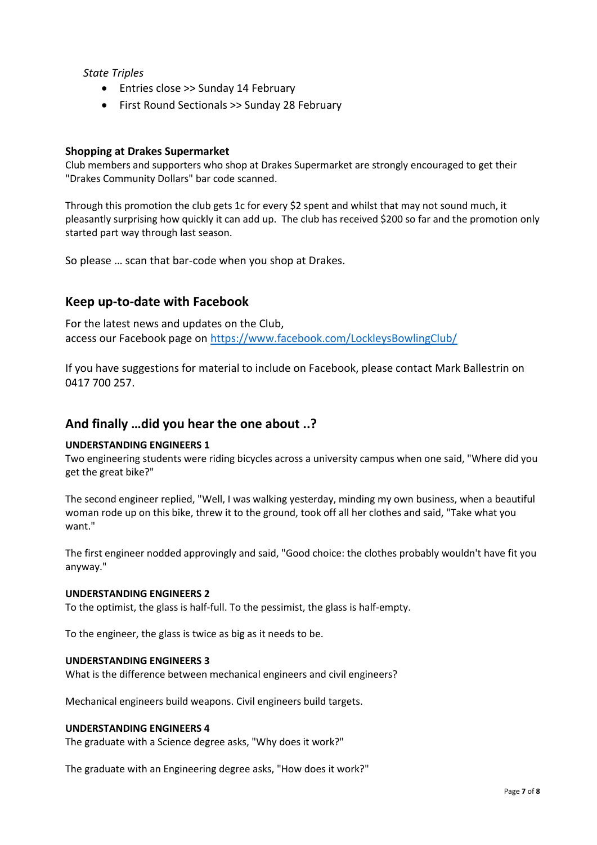#### *State Triples*

- Entries close >> Sunday 14 February
- First Round Sectionals >> Sunday 28 February

#### **Shopping at Drakes Supermarket**

Club members and supporters who shop at Drakes Supermarket are strongly encouraged to get their "Drakes Community Dollars" bar code scanned.

Through this promotion the club gets 1c for every \$2 spent and whilst that may not sound much, it pleasantly surprising how quickly it can add up. The club has received \$200 so far and the promotion only started part way through last season.

So please … scan that bar-code when you shop at Drakes.

# **Keep up-to-date with Facebook**

For the latest news and updates on the Club, access our Facebook page on <https://www.facebook.com/LockleysBowlingClub/>

If you have suggestions for material to include on Facebook, please contact Mark Ballestrin on 0417 700 257.

# **And finally …did you hear the one about ..?**

#### **UNDERSTANDING ENGINEERS 1**

Two engineering students were riding bicycles across a university campus when one said, "Where did you get the great bike?"

The second engineer replied, "Well, I was walking yesterday, minding my own business, when a beautiful woman rode up on this bike, threw it to the ground, took off all her clothes and said, "Take what you want."

The first engineer nodded approvingly and said, "Good choice: the clothes probably wouldn't have fit you anyway."

#### **UNDERSTANDING ENGINEERS 2**

To the optimist, the glass is half-full. To the pessimist, the glass is half-empty.

To the engineer, the glass is twice as big as it needs to be.

#### **UNDERSTANDING ENGINEERS 3**

What is the difference between mechanical engineers and civil engineers?

Mechanical engineers build weapons. Civil engineers build targets.

#### **UNDERSTANDING ENGINEERS 4**

The graduate with a Science degree asks, "Why does it work?"

The graduate with an Engineering degree asks, "How does it work?"